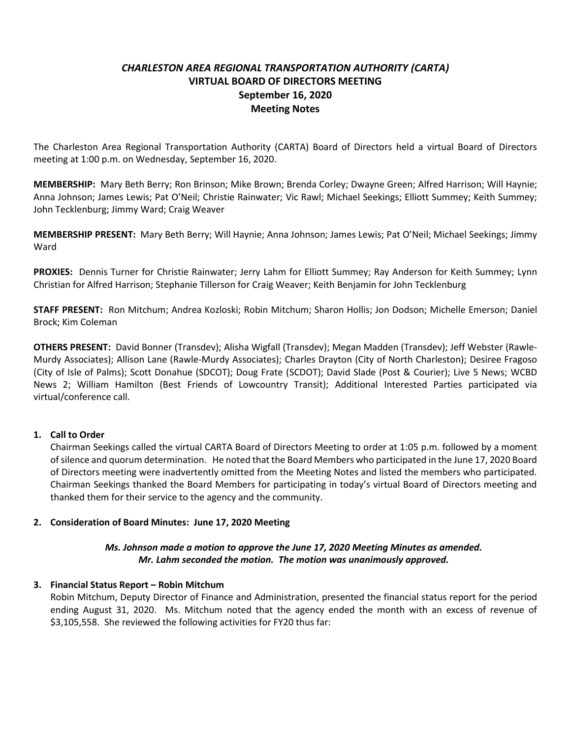# *CHARLESTON AREA REGIONAL TRANSPORTATION AUTHORITY (CARTA)* **VIRTUAL BOARD OF DIRECTORS MEETING September 16, 2020 Meeting Notes**

The Charleston Area Regional Transportation Authority (CARTA) Board of Directors held a virtual Board of Directors meeting at 1:00 p.m. on Wednesday, September 16, 2020.

**MEMBERSHIP:** Mary Beth Berry; Ron Brinson; Mike Brown; Brenda Corley; Dwayne Green; Alfred Harrison; Will Haynie; Anna Johnson; James Lewis; Pat O'Neil; Christie Rainwater; Vic Rawl; Michael Seekings; Elliott Summey; Keith Summey; John Tecklenburg; Jimmy Ward; Craig Weaver

**MEMBERSHIP PRESENT:** Mary Beth Berry; Will Haynie; Anna Johnson; James Lewis; Pat O'Neil; Michael Seekings; Jimmy Ward

**PROXIES:** Dennis Turner for Christie Rainwater; Jerry Lahm for Elliott Summey; Ray Anderson for Keith Summey; Lynn Christian for Alfred Harrison; Stephanie Tillerson for Craig Weaver; Keith Benjamin for John Tecklenburg

**STAFF PRESENT:** Ron Mitchum; Andrea Kozloski; Robin Mitchum; Sharon Hollis; Jon Dodson; Michelle Emerson; Daniel Brock; Kim Coleman

**OTHERS PRESENT:** David Bonner (Transdev); Alisha Wigfall (Transdev); Megan Madden (Transdev); Jeff Webster (Rawle-Murdy Associates); Allison Lane (Rawle-Murdy Associates); Charles Drayton (City of North Charleston); Desiree Fragoso (City of Isle of Palms); Scott Donahue (SDCOT); Doug Frate (SCDOT); David Slade (Post & Courier); Live 5 News; WCBD News 2; William Hamilton (Best Friends of Lowcountry Transit); Additional Interested Parties participated via virtual/conference call.

### **1. Call to Order**

Chairman Seekings called the virtual CARTA Board of Directors Meeting to order at 1:05 p.m. followed by a moment of silence and quorum determination. He noted that the Board Members who participated in the June 17, 2020 Board of Directors meeting were inadvertently omitted from the Meeting Notes and listed the members who participated. Chairman Seekings thanked the Board Members for participating in today's virtual Board of Directors meeting and thanked them for their service to the agency and the community.

### **2. Consideration of Board Minutes: June 17, 2020 Meeting**

### *Ms. Johnson made a motion to approve the June 17, 2020 Meeting Minutes as amended. Mr. Lahm seconded the motion. The motion was unanimously approved.*

### **3. Financial Status Report – Robin Mitchum**

Robin Mitchum, Deputy Director of Finance and Administration, presented the financial status report for the period ending August 31, 2020. Ms. Mitchum noted that the agency ended the month with an excess of revenue of \$3,105,558. She reviewed the following activities for FY20 thus far: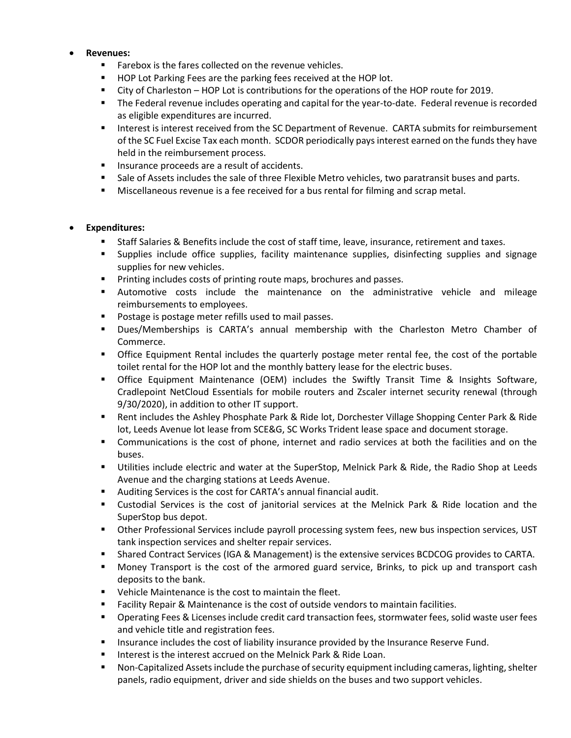### • **Revenues:**

- Farebox is the fares collected on the revenue vehicles.
- HOP Lot Parking Fees are the parking fees received at the HOP lot.
- City of Charleston HOP Lot is contributions for the operations of the HOP route for 2019.
- The Federal revenue includes operating and capital for the year-to-date. Federal revenue is recorded as eligible expenditures are incurred.
- Interest is interest received from the SC Department of Revenue. CARTA submits for reimbursement of the SC Fuel Excise Tax each month. SCDOR periodically pays interest earned on the funds they have held in the reimbursement process.
- Insurance proceeds are a result of accidents.
- Sale of Assets includes the sale of three Flexible Metro vehicles, two paratransit buses and parts.
- **■** Miscellaneous revenue is a fee received for a bus rental for filming and scrap metal.

### • **Expenditures:**

- Staff Salaries & Benefits include the cost of staff time, leave, insurance, retirement and taxes.
- Supplies include office supplies, facility maintenance supplies, disinfecting supplies and signage supplies for new vehicles.
- Printing includes costs of printing route maps, brochures and passes.
- Automotive costs include the maintenance on the administrative vehicle and mileage reimbursements to employees.
- Postage is postage meter refills used to mail passes.
- Dues/Memberships is CARTA's annual membership with the Charleston Metro Chamber of Commerce.
- **•** Office Equipment Rental includes the quarterly postage meter rental fee, the cost of the portable toilet rental for the HOP lot and the monthly battery lease for the electric buses.
- **•** Office Equipment Maintenance (OEM) includes the Swiftly Transit Time & Insights Software, Cradlepoint NetCloud Essentials for mobile routers and Zscaler internet security renewal (through 9/30/2020), in addition to other IT support.
- Rent includes the Ashley Phosphate Park & Ride lot, Dorchester Village Shopping Center Park & Ride lot, Leeds Avenue lot lease from SCE&G, SC Works Trident lease space and document storage.
- Communications is the cost of phone, internet and radio services at both the facilities and on the buses.
- Utilities include electric and water at the SuperStop, Melnick Park & Ride, the Radio Shop at Leeds Avenue and the charging stations at Leeds Avenue.
- Auditing Services is the cost for CARTA's annual financial audit.
- Custodial Services is the cost of janitorial services at the Melnick Park & Ride location and the SuperStop bus depot.
- **■** Other Professional Services include payroll processing system fees, new bus inspection services, UST tank inspection services and shelter repair services.
- **Shared Contract Services (IGA & Management) is the extensive services BCDCOG provides to CARTA.**
- Money Transport is the cost of the armored guard service, Brinks, to pick up and transport cash deposits to the bank.
- Vehicle Maintenance is the cost to maintain the fleet.
- Facility Repair & Maintenance is the cost of outside vendors to maintain facilities.
- Operating Fees & Licenses include credit card transaction fees, stormwater fees, solid waste user fees and vehicle title and registration fees.
- **■** Insurance includes the cost of liability insurance provided by the Insurance Reserve Fund.
- Interest is the interest accrued on the Melnick Park & Ride Loan.
- Non-Capitalized Assets include the purchase of security equipment including cameras, lighting, shelter panels, radio equipment, driver and side shields on the buses and two support vehicles.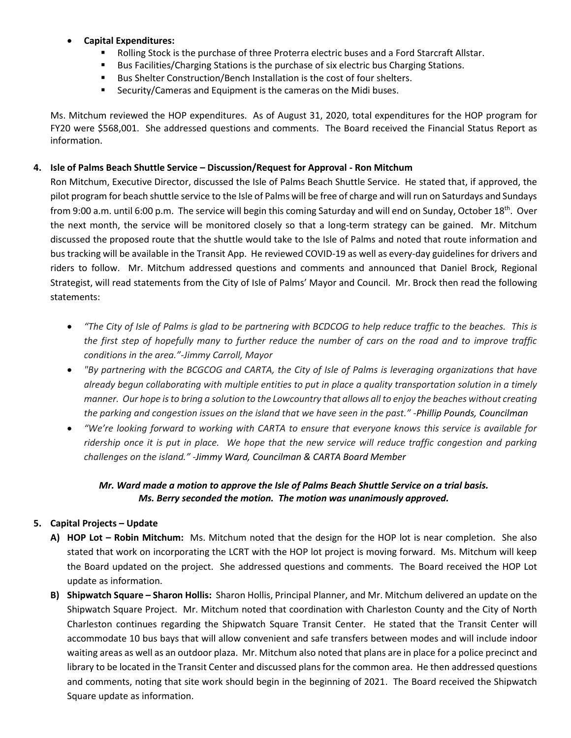# • **Capital Expenditures:**

- Rolling Stock is the purchase of three Proterra electric buses and a Ford Starcraft Allstar.
- Bus Facilities/Charging Stations is the purchase of six electric bus Charging Stations.
- Bus Shelter Construction/Bench Installation is the cost of four shelters.
- Security/Cameras and Equipment is the cameras on the Midi buses.

Ms. Mitchum reviewed the HOP expenditures. As of August 31, 2020, total expenditures for the HOP program for FY20 were \$568,001. She addressed questions and comments. The Board received the Financial Status Report as information.

### **4. Isle of Palms Beach Shuttle Service – Discussion/Request for Approval - Ron Mitchum**

Ron Mitchum, Executive Director, discussed the Isle of Palms Beach Shuttle Service. He stated that, if approved, the pilot program for beach shuttle service to the Isle of Palms will be free of charge and will run on Saturdays and Sundays from 9:00 a.m. until 6:00 p.m. The service will begin this coming Saturday and will end on Sunday, October 18<sup>th</sup>. Over the next month, the service will be monitored closely so that a long-term strategy can be gained. Mr. Mitchum discussed the proposed route that the shuttle would take to the Isle of Palms and noted that route information and bus tracking will be available in the Transit App. He reviewed COVID-19 as well as every-day guidelines for drivers and riders to follow. Mr. Mitchum addressed questions and comments and announced that Daniel Brock, Regional Strategist, will read statements from the City of Isle of Palms' Mayor and Council. Mr. Brock then read the following statements:

- *"The City of Isle of Palms is glad to be partnering with BCDCOG to help reduce traffic to the beaches. This is the first step of hopefully many to further reduce the number of cars on the road and to improve traffic conditions in the area."-Jimmy Carroll, Mayor*
- *"By partnering with the BCGCOG and CARTA, the City of Isle of Palms is leveraging organizations that have already begun collaborating with multiple entities to put in place a quality transportation solution in a timely manner. Our hope is to bring a solution to the Lowcountry that allows all to enjoy the beaches without creating the parking and congestion issues on the island that we have seen in the past." -Phillip Pounds, Councilman*
- *"We're looking forward to working with CARTA to ensure that everyone knows this service is available for ridership once it is put in place. We hope that the new service will reduce traffic congestion and parking challenges on the island." -Jimmy Ward, Councilman & CARTA Board Member*

# *Mr. Ward made a motion to approve the Isle of Palms Beach Shuttle Service on a trial basis. Ms. Berry seconded the motion. The motion was unanimously approved.*

# **5. Capital Projects – Update**

- **A) HOP Lot – Robin Mitchum:** Ms. Mitchum noted that the design for the HOP lot is near completion. She also stated that work on incorporating the LCRT with the HOP lot project is moving forward. Ms. Mitchum will keep the Board updated on the project. She addressed questions and comments. The Board received the HOP Lot update as information.
- **B) Shipwatch Square – Sharon Hollis:** Sharon Hollis, Principal Planner, and Mr. Mitchum delivered an update on the Shipwatch Square Project. Mr. Mitchum noted that coordination with Charleston County and the City of North Charleston continues regarding the Shipwatch Square Transit Center. He stated that the Transit Center will accommodate 10 bus bays that will allow convenient and safe transfers between modes and will include indoor waiting areas as well as an outdoor plaza. Mr. Mitchum also noted that plans are in place for a police precinct and library to be located in the Transit Center and discussed plans for the common area. He then addressed questions and comments, noting that site work should begin in the beginning of 2021. The Board received the Shipwatch Square update as information.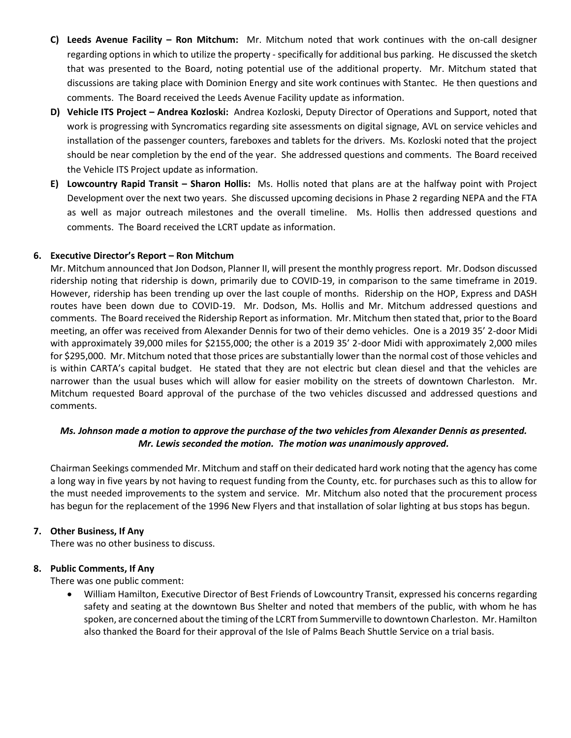- **C) Leeds Avenue Facility – Ron Mitchum:** Mr. Mitchum noted that work continues with the on-call designer regarding options in which to utilize the property - specifically for additional bus parking. He discussed the sketch that was presented to the Board, noting potential use of the additional property. Mr. Mitchum stated that discussions are taking place with Dominion Energy and site work continues with Stantec. He then questions and comments. The Board received the Leeds Avenue Facility update as information.
- **D) Vehicle ITS Project – Andrea Kozloski:** Andrea Kozloski, Deputy Director of Operations and Support, noted that work is progressing with Syncromatics regarding site assessments on digital signage, AVL on service vehicles and installation of the passenger counters, fareboxes and tablets for the drivers. Ms. Kozloski noted that the project should be near completion by the end of the year. She addressed questions and comments. The Board received the Vehicle ITS Project update as information.
- **E) Lowcountry Rapid Transit – Sharon Hollis:** Ms. Hollis noted that plans are at the halfway point with Project Development over the next two years. She discussed upcoming decisions in Phase 2 regarding NEPA and the FTA as well as major outreach milestones and the overall timeline. Ms. Hollis then addressed questions and comments. The Board received the LCRT update as information.

### **6. Executive Director's Report – Ron Mitchum**

Mr. Mitchum announced that Jon Dodson, Planner II, will present the monthly progress report. Mr. Dodson discussed ridership noting that ridership is down, primarily due to COVID-19, in comparison to the same timeframe in 2019. However, ridership has been trending up over the last couple of months. Ridership on the HOP, Express and DASH routes have been down due to COVID-19. Mr. Dodson, Ms. Hollis and Mr. Mitchum addressed questions and comments. The Board received the Ridership Report as information. Mr. Mitchum then stated that, prior to the Board meeting, an offer was received from Alexander Dennis for two of their demo vehicles. One is a 2019 35' 2-door Midi with approximately 39,000 miles for \$2155,000; the other is a 2019 35' 2-door Midi with approximately 2,000 miles for \$295,000. Mr. Mitchum noted that those prices are substantially lower than the normal cost of those vehicles and is within CARTA's capital budget. He stated that they are not electric but clean diesel and that the vehicles are narrower than the usual buses which will allow for easier mobility on the streets of downtown Charleston. Mr. Mitchum requested Board approval of the purchase of the two vehicles discussed and addressed questions and comments.

# *Ms. Johnson made a motion to approve the purchase of the two vehicles from Alexander Dennis as presented. Mr. Lewis seconded the motion. The motion was unanimously approved.*

Chairman Seekings commended Mr. Mitchum and staff on their dedicated hard work noting that the agency has come a long way in five years by not having to request funding from the County, etc. for purchases such as this to allow for the must needed improvements to the system and service. Mr. Mitchum also noted that the procurement process has begun for the replacement of the 1996 New Flyers and that installation of solar lighting at bus stops has begun.

### **7. Other Business, If Any**

There was no other business to discuss.

### **8. Public Comments, If Any**

There was one public comment:

• William Hamilton, Executive Director of Best Friends of Lowcountry Transit, expressed his concerns regarding safety and seating at the downtown Bus Shelter and noted that members of the public, with whom he has spoken, are concerned about the timing of the LCRT from Summerville to downtown Charleston. Mr. Hamilton also thanked the Board for their approval of the Isle of Palms Beach Shuttle Service on a trial basis.